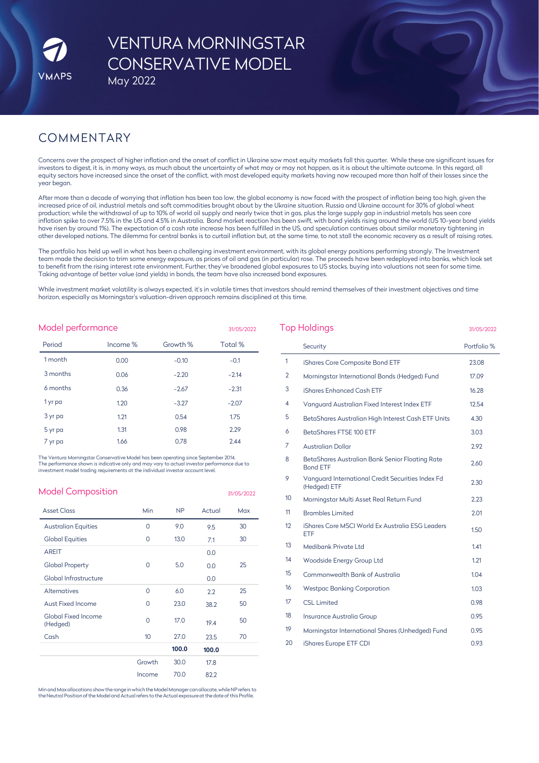# VENTURA MORNINGSTAR CONSERVATIVE MODEL May 2022

## COMMENTARY

Concerns over the prospect of higher inflation and the onset of conflict in Ukraine saw most equity markets fall this quarter. While these are significant issues for investors to digest, it is, in many ways, as much about the uncertainty of what may or may not happen, as it is about the ultimate outcome. In this regard, all equity sectors have increased since the onset of the conflict, with most developed equity markets having now recouped more than half of their losses since the year began.

After more than a decade of worrying that inflation has been too low, the global economy is now faced with the prospect of inflation being too high, given the increased price of oil, industrial metals and soft commodities brought about by the Ukraine situation. Russia and Ukraine account for 30% of global wheat production; while the withdrawal of up to 10% of world oil supply and nearly twice that in gas, plus the large supply gap in industrial metals has seen core inflation spike to over 7.5% in the US and 4.5% in Australia. Bond market reaction has been swift, with bond yields rising around the world (US 10-year bond yields have risen by around 1%). The expectation of a cash rate increase has been fulfilled in the US, and speculation continues about similar monetary tightening in other developed nations. The dilemma for central banks is to curtail inflation but, at the same time, to not stall the economic recovery as a result of raising rates.

The portfolio has held up well in what has been a challenging investment environment, with its global energy positions performing strongly. The Investment team made the decision to trim some energy exposure, as prices of oil and gas (in particular) rose. The proceeds have been redeployed into banks, which look set to benefit from the rising interest rate environment. Further, they've broadened global exposures to US stocks, buying into valuations not seen for some time. Taking advantage of better value (and yields) in bonds, the team have also increased bond exposures.

While investment market volatility is always expected, it's in volatile times that investors should remind themselves of their investment objectives and time horizon, especially as Morningstar's valuation-driven approach remains disciplined at this time.

| Model performance<br>31/05/2022 |          |          |         |  |  |
|---------------------------------|----------|----------|---------|--|--|
| Period                          | Income % | Growth % | Total % |  |  |
| 1 month                         | 0.00     | $-0.10$  | $-0.1$  |  |  |
| 3 months                        | 0.06     | $-2.20$  | $-2.14$ |  |  |
| 6 months                        | 0.36     | $-2.67$  | $-2.31$ |  |  |
| 1 yr pa                         | 1.20     | $-3.27$  | $-2.07$ |  |  |
| 3 yr pa                         | 1.21     | 0.54     | 1.75    |  |  |
| 5 yr pa                         | 1.31     | 0.98     | 2.29    |  |  |
| 7 yr pa                         | 1.66     | 0.78     | 2.44    |  |  |

The Ventura Morningstar Conservative Model has been operating since September 2014. The performance shown is indicative only and may vary to actual investor performance due to investment model trading requirements at the individual investor account level.

| <b>Model Composition</b>        |                  |                |        | 31/05/2022 |
|---------------------------------|------------------|----------------|--------|------------|
| <b>Asset Class</b>              | <b>Min</b>       | N <sub>P</sub> | Actual | Max        |
| <b>Australian Equities</b>      | 0                | 9.0            | 9.5    | 30         |
| <b>Global Equities</b>          | 0                | 13.0           | 7.1    | 30         |
| <b>AREIT</b>                    |                  |                | 0.0    |            |
| <b>Global Property</b>          | 0                | 5.0            | 0.0    | 25         |
| Global Infrastructure           |                  |                | 0.0    |            |
| <b>Alternatives</b>             | $\Omega$         | 6.0            | 2.2    | 25         |
| <b>Aust Fixed Income</b>        | 0                | 23.0           | 38.2   | 50         |
| Global Fixed Income<br>(Hedged) | $\Omega$         | 17.0           | 19.4   | 50         |
| Cash                            | 10 <sup>10</sup> | 27.0           | 23.5   | 70         |
|                                 |                  | 100.0          | 100.0  |            |
|                                 | Growth           | 30.0           | 17.8   |            |
|                                 | Income           | 70.0           | 82.2   |            |
|                                 |                  |                |        |            |

Minand Max allocations show the range inwhichthe Model Manager canallocate, while NP refers to the Neutral Position of the Model and Actual refers to the Actual exposure at the date of this Profile.

|    | Security                                                           | Portfolio % |
|----|--------------------------------------------------------------------|-------------|
| 1  | iShares Core Composite Bond ETF                                    | 23.08       |
| 2  | Morningstar International Bonds (Hedged) Fund                      | 17.09       |
| 3  | iShares Enhanced Cash ETF                                          | 16.28       |
| 4  | Vanguard Australian Fixed Interest Index ETF                       | 12.54       |
| 5  | BetaShares Australian High Interest Cash ETF Units                 | 4.30        |
| 6  | BetaShares FTSE 100 ETF                                            | 3.03        |
| 7  | <b>Australian Dollar</b>                                           | 2.92        |
| 8  | BetaShares Australian Bank Senior Floating Rate<br><b>Bond ETF</b> | 2.60        |
| 9  | Vanquard International Credit Securities Index Fd<br>(Hedged) ETF  | 2.30        |
| 10 | Morningstar Multi Asset Real Return Fund                           | 2.23        |
| 11 | <b>Brambles Limited</b>                                            | 2.01        |
| 12 | iShares Core MSCI World Ex Australia ESG Leaders<br><b>ETF</b>     | 1.50        |
| 13 | Medibank Private Ltd                                               | 1.41        |
| 14 | Woodside Energy Group Ltd                                          | 1.21        |
| 15 | Commonwealth Bank of Australia                                     | 1.04        |
| 16 | <b>Westpac Banking Corporation</b>                                 | 1.03        |
| 17 | <b>CSL Limited</b>                                                 | 0.98        |
| 18 | Insurance Australia Group                                          | 0.95        |
| 19 | Morningstar International Shares (Unhedged) Fund                   | 0.95        |
| 20 | iShares Europe ETF CDI                                             | 0.93        |

Top Holdings 31/05/2022